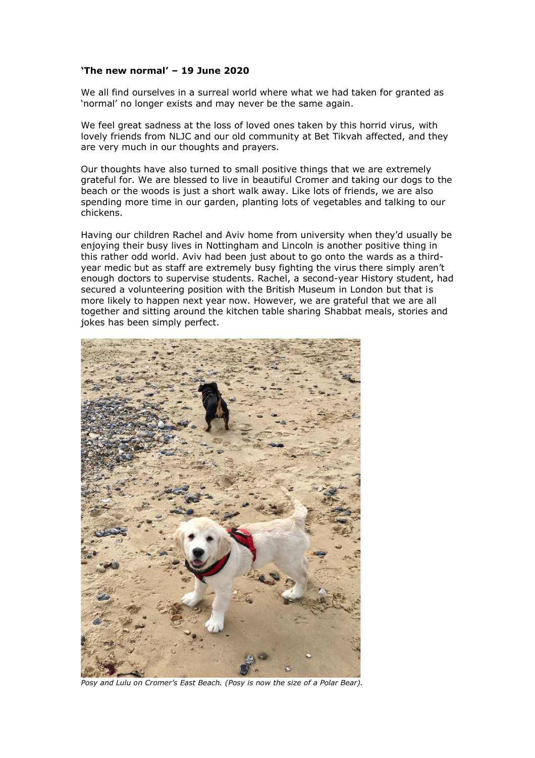## **'The new normal' – 19 June 2020**

We all find ourselves in a surreal world where what we had taken for granted as 'normal' no longer exists and may never be the same again.

We feel great sadness at the loss of loved ones taken by this horrid virus, with lovely friends from NLJC and our old community at Bet Tikvah affected, and they are very much in our thoughts and prayers.

Our thoughts have also turned to small positive things that we are extremely grateful for. We are blessed to live in beautiful Cromer and taking our dogs to the beach or the woods is just a short walk away. Like lots of friends, we are also spending more time in our garden, planting lots of vegetables and talking to our chickens.

Having our children Rachel and Aviv home from university when they'd usually be enjoying their busy lives in Nottingham and Lincoln is another positive thing in this rather odd world. Aviv had been just about to go onto the wards as a thirdyear medic but as staff are extremely busy fighting the virus there simply aren't enough doctors to supervise students. Rachel, a second-year History student, had secured a volunteering position with the British Museum in London but that is more likely to happen next year now. However, we are grateful that we are all together and sitting around the kitchen table sharing Shabbat meals, stories and jokes has been simply perfect.



*Posy and Lulu on Cromer's East Beach. (Posy is now the size of a Polar Bear).*